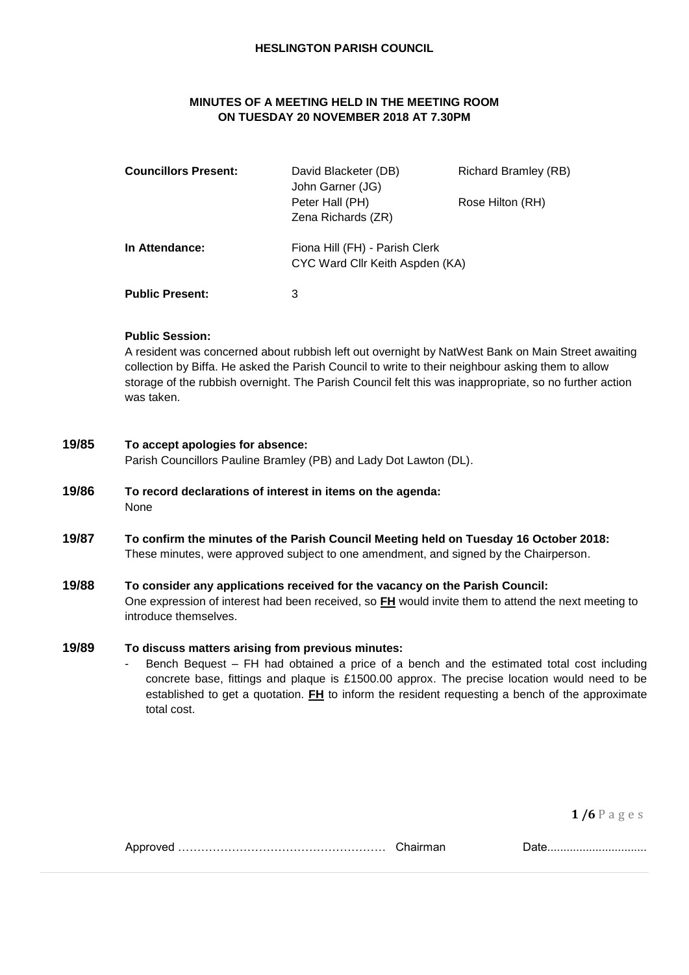#### **HESLINGTON PARISH COUNCIL**

## **MINUTES OF A MEETING HELD IN THE MEETING ROOM ON TUESDAY 20 NOVEMBER 2018 AT 7.30PM**

| <b>Councillors Present:</b> | David Blacketer (DB)<br>John Garner (JG)<br>Peter Hall (PH)<br>Zena Richards (ZR) | <b>Richard Bramley (RB)</b><br>Rose Hilton (RH) |
|-----------------------------|-----------------------------------------------------------------------------------|-------------------------------------------------|
| In Attendance:              | Fiona Hill (FH) - Parish Clerk<br>CYC Ward Cllr Keith Aspden (KA)                 |                                                 |
| <b>Public Present:</b>      |                                                                                   |                                                 |

#### **Public Session:**

A resident was concerned about rubbish left out overnight by NatWest Bank on Main Street awaiting collection by Biffa. He asked the Parish Council to write to their neighbour asking them to allow storage of the rubbish overnight. The Parish Council felt this was inappropriate, so no further action was taken.

### **19/85 To accept apologies for absence:**

Parish Councillors Pauline Bramley (PB) and Lady Dot Lawton (DL).

- **19/86 To record declarations of interest in items on the agenda:** None
- **19/87 To confirm the minutes of the Parish Council Meeting held on Tuesday 16 October 2018:** These minutes, were approved subject to one amendment, and signed by the Chairperson.

#### **19/88 To consider any applications received for the vacancy on the Parish Council:**

One expression of interest had been received, so **FH** would invite them to attend the next meeting to introduce themselves.

### **19/89 To discuss matters arising from previous minutes:**

Bench Bequest – FH had obtained a price of a bench and the estimated total cost including concrete base, fittings and plaque is £1500.00 approx. The precise location would need to be established to get a quotation. **FH** to inform the resident requesting a bench of the approximate total cost.

**1 /6** P a g e s

| Chairman |
|----------|
|          |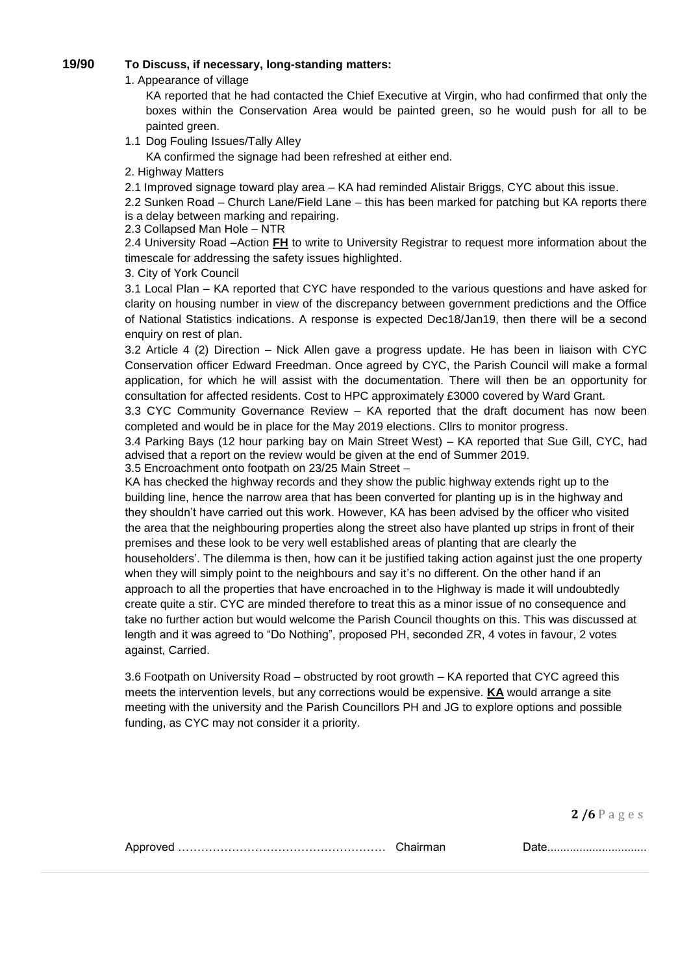## **19/90 To Discuss, if necessary, long-standing matters:**

1. Appearance of village

KA reported that he had contacted the Chief Executive at Virgin, who had confirmed that only the boxes within the Conservation Area would be painted green, so he would push for all to be painted green.

1.1 Dog Fouling Issues/Tally Alley

KA confirmed the signage had been refreshed at either end.

2. Highway Matters

2.1 Improved signage toward play area – KA had reminded Alistair Briggs, CYC about this issue.

2.2 Sunken Road – Church Lane/Field Lane – this has been marked for patching but KA reports there is a delay between marking and repairing.

#### 2.3 Collapsed Man Hole – NTR

2.4 University Road –Action **FH** to write to University Registrar to request more information about the timescale for addressing the safety issues highlighted.

#### 3. City of York Council

3.1 Local Plan – KA reported that CYC have responded to the various questions and have asked for clarity on housing number in view of the discrepancy between government predictions and the Office of National Statistics indications. A response is expected Dec18/Jan19, then there will be a second enquiry on rest of plan.

3.2 Article 4 (2) Direction – Nick Allen gave a progress update. He has been in liaison with CYC Conservation officer Edward Freedman. Once agreed by CYC, the Parish Council will make a formal application, for which he will assist with the documentation. There will then be an opportunity for consultation for affected residents. Cost to HPC approximately £3000 covered by Ward Grant.

3.3 CYC Community Governance Review – KA reported that the draft document has now been completed and would be in place for the May 2019 elections. Cllrs to monitor progress.

3.4 Parking Bays (12 hour parking bay on Main Street West) – KA reported that Sue Gill, CYC, had advised that a report on the review would be given at the end of Summer 2019.

3.5 Encroachment onto footpath on 23/25 Main Street –

KA has checked the highway records and they show the public highway extends right up to the building line, hence the narrow area that has been converted for planting up is in the highway and they shouldn't have carried out this work. However, KA has been advised by the officer who visited the area that the neighbouring properties along the street also have planted up strips in front of their premises and these look to be very well established areas of planting that are clearly the householders'. The dilemma is then, how can it be justified taking action against just the one property when they will simply point to the neighbours and say it's no different. On the other hand if an approach to all the properties that have encroached in to the Highway is made it will undoubtedly create quite a stir. CYC are minded therefore to treat this as a minor issue of no consequence and take no further action but would welcome the Parish Council thoughts on this. This was discussed at length and it was agreed to "Do Nothing", proposed PH, seconded ZR, 4 votes in favour, 2 votes against, Carried.

3.6 Footpath on University Road – obstructed by root growth – KA reported that CYC agreed this meets the intervention levels, but any corrections would be expensive. **KA** would arrange a site meeting with the university and the Parish Councillors PH and JG to explore options and possible funding, as CYC may not consider it a priority.

**2 /6** P a g e s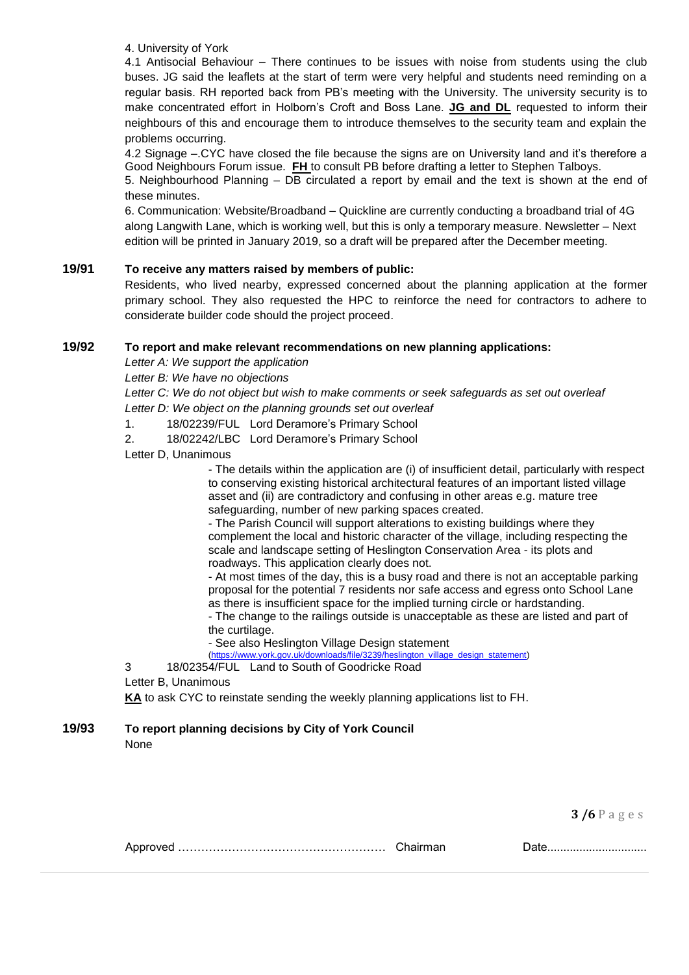4. University of York

4.1 Antisocial Behaviour – There continues to be issues with noise from students using the club buses. JG said the leaflets at the start of term were very helpful and students need reminding on a regular basis. RH reported back from PB's meeting with the University. The university security is to make concentrated effort in Holborn's Croft and Boss Lane. **JG and DL** requested to inform their neighbours of this and encourage them to introduce themselves to the security team and explain the problems occurring.

4.2 Signage –.CYC have closed the file because the signs are on University land and it's therefore a Good Neighbours Forum issue. **FH** to consult PB before drafting a letter to Stephen Talboys.

5. Neighbourhood Planning – DB circulated a report by email and the text is shown at the end of these minutes.

6. Communication: Website/Broadband – Quickline are currently conducting a broadband trial of 4G along Langwith Lane, which is working well, but this is only a temporary measure. Newsletter – Next edition will be printed in January 2019, so a draft will be prepared after the December meeting.

## **19/91 To receive any matters raised by members of public:**

Residents, who lived nearby, expressed concerned about the planning application at the former primary school. They also requested the HPC to reinforce the need for contractors to adhere to considerate builder code should the project proceed.

## **19/92 To report and make relevant recommendations on new planning applications:**

*Letter A: We support the application*

*Letter B: We have no objections*

*Letter C: We do not object but wish to make comments or seek safeguards as set out overleaf Letter D: We object on the planning grounds set out overleaf*

1. 18/02239/FUL Lord Deramore's Primary School

2. 18/02242/LBC Lord Deramore's Primary School

Letter D, Unanimous

- The details within the application are (i) of insufficient detail, particularly with respect to conserving existing historical architectural features of an important listed village asset and (ii) are contradictory and confusing in other areas e.g. mature tree safeguarding, number of new parking spaces created.

- The Parish Council will support alterations to existing buildings where they complement the local and historic character of the village, including respecting the scale and landscape setting of Heslington Conservation Area - its plots and roadways. This application clearly does not.

- At most times of the day, this is a busy road and there is not an acceptable parking proposal for the potential 7 residents nor safe access and egress onto School Lane as there is insufficient space for the implied turning circle or hardstanding.

- The change to the railings outside is unacceptable as these are listed and part of the curtilage.

- See also Heslington Village Design statement<br>
(https://www.york.gov.uk/downloads/file/3239/heslington\_village

file/3239/heslington\_village\_design\_statement)

3 18/02354/FUL Land to South of Goodricke Road

Letter B, Unanimous

**KA** to ask CYC to reinstate sending the weekly planning applications list to FH.

# **19/93 To report planning decisions by City of York Council**

None

**3 /6** P a g e s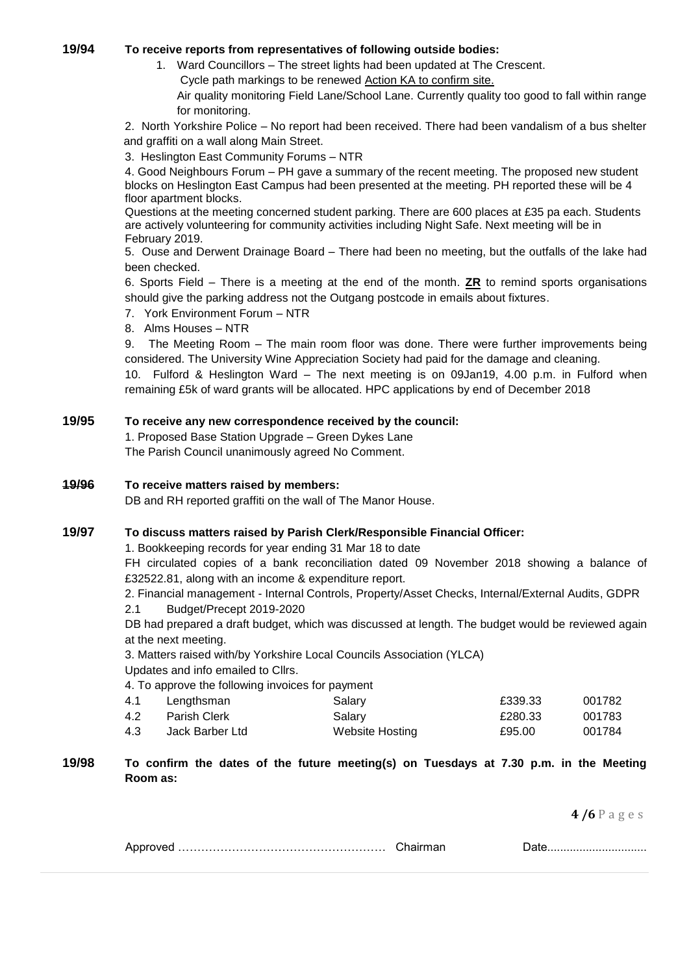## **19/94 To receive reports from representatives of following outside bodies:**

1. Ward Councillors – The street lights had been updated at The Crescent. Cycle path markings to be renewed Action KA to confirm site.

Air quality monitoring Field Lane/School Lane. Currently quality too good to fall within range for monitoring.

2. North Yorkshire Police – No report had been received. There had been vandalism of a bus shelter and graffiti on a wall along Main Street.

3. Heslington East Community Forums – NTR

4. Good Neighbours Forum – PH gave a summary of the recent meeting. The proposed new student blocks on Heslington East Campus had been presented at the meeting. PH reported these will be 4 floor apartment blocks.

Questions at the meeting concerned student parking. There are 600 places at £35 pa each. Students are actively volunteering for community activities including Night Safe. Next meeting will be in February 2019.

5. Ouse and Derwent Drainage Board – There had been no meeting, but the outfalls of the lake had been checked.

6. Sports Field – There is a meeting at the end of the month. **ZR** to remind sports organisations should give the parking address not the Outgang postcode in emails about fixtures.

- 7. York Environment Forum NTR
- 8. Alms Houses NTR

9. The Meeting Room – The main room floor was done. There were further improvements being considered. The University Wine Appreciation Society had paid for the damage and cleaning.

10. Fulford & Heslington Ward – The next meeting is on 09Jan19, 4.00 p.m. in Fulford when remaining £5k of ward grants will be allocated. HPC applications by end of December 2018

## **19/95 To receive any new correspondence received by the council:**

1. Proposed Base Station Upgrade – Green Dykes Lane The Parish Council unanimously agreed No Comment.

### **19/96 To receive matters raised by members:**

DB and RH reported graffiti on the wall of The Manor House.

## **19/97 To discuss matters raised by Parish Clerk/Responsible Financial Officer:**

1. Bookkeeping records for year ending 31 Mar 18 to date

FH circulated copies of a bank reconciliation dated 09 November 2018 showing a balance of £32522.81, along with an income & expenditure report.

2. Financial management - Internal Controls, Property/Asset Checks, Internal/External Audits, GDPR 2.1 Budget/Precept 2019-2020

DB had prepared a draft budget, which was discussed at length. The budget would be reviewed again at the next meeting.

3. Matters raised with/by Yorkshire Local Councils Association (YLCA) Updates and info emailed to Cllrs.

4. To approve the following invoices for payment

| Lengthsman          | Salary          | £339.33 | 001782 |
|---------------------|-----------------|---------|--------|
| <b>Parish Clerk</b> | Salary          | £280.33 | 001783 |
| Jack Barber Ltd     | Website Hosting | £95.00  | 001784 |
|                     |                 |         |        |

## **19/98 To confirm the dates of the future meeting(s) on Tuesdays at 7.30 p.m. in the Meeting Room as:**

**4 /6** P a g e s

|--|--|--|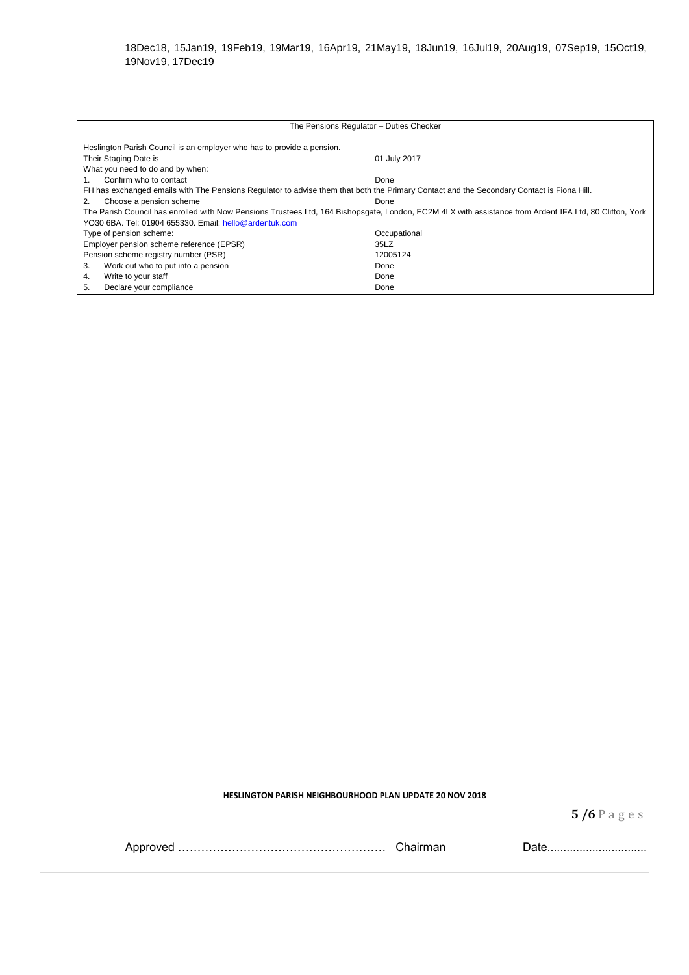| The Pensions Regulator - Duties Checker                                                                                                                 |              |  |  |  |
|---------------------------------------------------------------------------------------------------------------------------------------------------------|--------------|--|--|--|
|                                                                                                                                                         |              |  |  |  |
| Heslington Parish Council is an employer who has to provide a pension.                                                                                  |              |  |  |  |
| Their Staging Date is                                                                                                                                   | 01 July 2017 |  |  |  |
| What you need to do and by when:                                                                                                                        |              |  |  |  |
| Confirm who to contact                                                                                                                                  | Done         |  |  |  |
| FH has exchanged emails with The Pensions Regulator to advise them that both the Primary Contact and the Secondary Contact is Fiona Hill.               |              |  |  |  |
| Choose a pension scheme<br>2.                                                                                                                           | Done         |  |  |  |
| The Parish Council has enrolled with Now Pensions Trustees Ltd, 164 Bishopsgate, London, EC2M 4LX with assistance from Ardent IFA Ltd, 80 Clifton, York |              |  |  |  |
| YO30 6BA. Tel: 01904 655330. Email: hello@ardentuk.com                                                                                                  |              |  |  |  |
| Type of pension scheme:                                                                                                                                 | Occupational |  |  |  |
| Employer pension scheme reference (EPSR)                                                                                                                | 35LZ         |  |  |  |
| Pension scheme registry number (PSR)                                                                                                                    | 12005124     |  |  |  |
| Work out who to put into a pension<br>3.                                                                                                                | Done         |  |  |  |
| Write to your staff<br>4.                                                                                                                               | Done         |  |  |  |
| 5.<br>Declare your compliance                                                                                                                           | Done         |  |  |  |

**HESLINGTON PARISH NEIGHBOURHOOD PLAN UPDATE 20 NOV 2018**

**5 /6** P a g e s

|  |  | , uww |
|--|--|-------|
|--|--|-------|